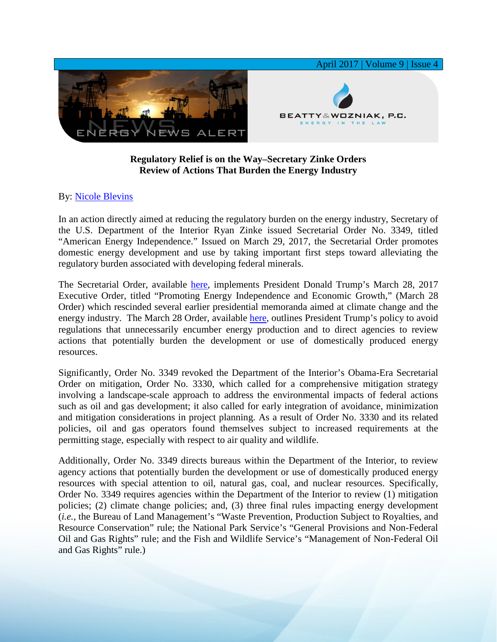

## **Regulatory Relief is on the Way–Secretary Zinke Orders Review of Actions That Burden the Energy Industry**

## By: [Nicole Blevins](https://www.bwenergylaw.com/nicole-blevins)

In an action directly aimed at reducing the regulatory burden on the energy industry, Secretary of the U.S. Department of the Interior Ryan Zinke issued Secretarial Order No. 3349, titled "American Energy Independence." Issued on March 29, 2017, the Secretarial Order promotes domestic energy development and use by taking important first steps toward alleviating the regulatory burden associated with developing federal minerals.

The Secretarial Order, available [here,](https://www.doi.gov/sites/doi.gov/files/uploads/so_3349_-american_energy_independence.pdf) implements President Donald Trump's March 28, 2017 Executive Order, titled "Promoting Energy Independence and Economic Growth," (March 28 Order) which rescinded several earlier presidential memoranda aimed at climate change and the energy industry. The March 28 Order, available [here,](https://www.whitehouse.gov/the-press-office/2017/03/28/presidential-executive-order-promoting-energy-independence-and-economi-1) outlines President Trump's policy to avoid regulations that unnecessarily encumber energy production and to direct agencies to review actions that potentially burden the development or use of domestically produced energy resources.

Significantly, Order No. 3349 revoked the Department of the Interior's Obama-Era Secretarial Order on mitigation, Order No. 3330, which called for a comprehensive mitigation strategy involving a landscape-scale approach to address the environmental impacts of federal actions such as oil and gas development; it also called for early integration of avoidance, minimization and mitigation considerations in project planning. As a result of Order No. 3330 and its related policies, oil and gas operators found themselves subject to increased requirements at the permitting stage, especially with respect to air quality and wildlife.

Additionally, Order No. 3349 directs bureaus within the Department of the Interior, to review agency actions that potentially burden the development or use of domestically produced energy resources with special attention to oil, natural gas, coal, and nuclear resources. Specifically, Order No. 3349 requires agencies within the Department of the Interior to review (1) mitigation policies; (2) climate change policies; and, (3) three final rules impacting energy development (*i.e.*, the Bureau of Land Management's "Waste Prevention, Production Subject to Royalties, and Resource Conservation" rule; the National Park Service's "General Provisions and Non-Federal Oil and Gas Rights" rule; and the Fish and Wildlife Service's "Management of Non-Federal Oil and Gas Rights" rule.)